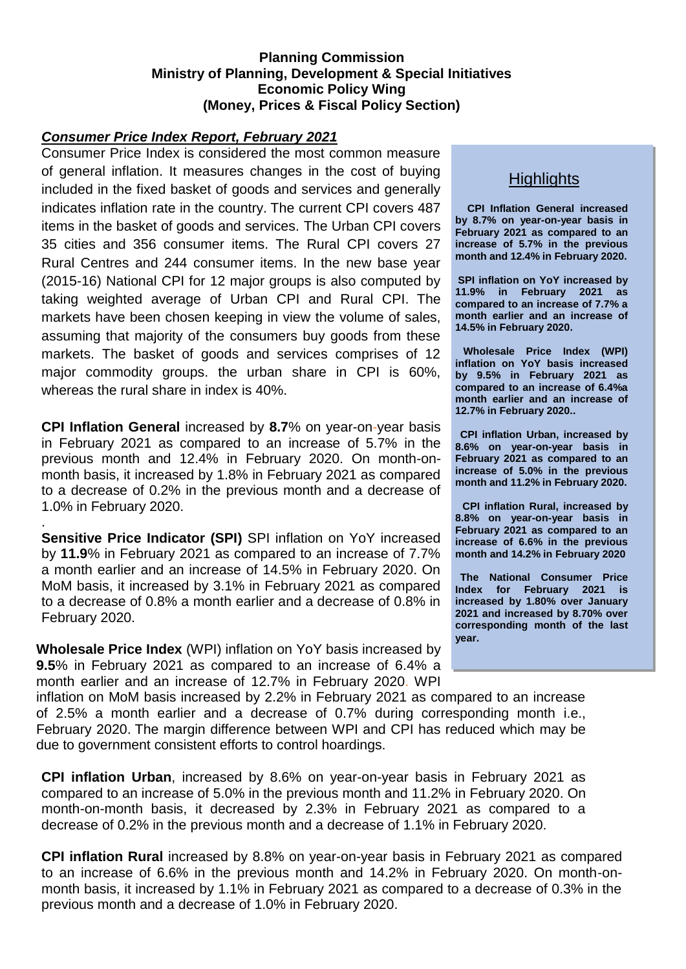#### **Planning Commission Ministry of Planning, Development & Special Initiatives Economic Policy Wing (Money, Prices & Fiscal Policy Section)**

#### *Consumer Price Index Report, February 2021*

Consumer Price Index is considered the most common measure of general inflation. It measures changes in the cost of buying included in the fixed basket of goods and services and generally indicates inflation rate in the country. The current CPI covers 487 items in the basket of goods and services. The Urban CPI covers 35 cities and 356 consumer items. The Rural CPI covers 27 Rural Centres and 244 consumer items. In the new base year (2015-16) National CPI for 12 major groups is also computed by taking weighted average of Urban CPI and Rural CPI. The markets have been chosen keeping in view the volume of sales, assuming that majority of the consumers buy goods from these markets. The basket of goods and services comprises of 12 major commodity groups. the urban share in CPI is 60%, whereas the rural share in index is 40%.

**CPI Inflation General** increased by **8.7**% on year-on-year basis in February 2021 as compared to an increase of 5.7% in the previous month and 12.4% in February 2020. On month-onmonth basis, it increased by 1.8% in February 2021 as compared to a decrease of 0.2% in the previous month and a decrease of 1.0% in February 2020.

**Sensitive Price Indicator (SPI)** SPI inflation on YoY increased by **11.9**% in February 2021 as compared to an increase of 7.7% a month earlier and an increase of 14.5% in February 2020. On MoM basis, it increased by 3.1% in February 2021 as compared to a decrease of 0.8% a month earlier and a decrease of 0.8% in February 2020.

.

**Wholesale Price Index** (WPI) inflation on YoY basis increased by **9.5**% in February 2021 as compared to an increase of 6.4% a month earlier and an increase of 12.7% in February 2020. WPI

# **Highlights**

**CPI Inflation General increased by 8.7% on year-on-year basis in February 2021 as compared to an increase of 5.7% in the previous month and 12.4% in February 2020.**

**SPI inflation on YoY increased by 11.9% in February 2021 as compared to an increase of 7.7% a month earlier and an increase of 14.5% in February 2020.**

**Wholesale Price Index (WPI) inflation on YoY basis increased by 9.5% in February 2021 as compared to an increase of 6.4%a month earlier and an increase of 12.7% in February 2020..**

**CPI inflation Urban, increased by 8.6% on year-on-year basis in February 2021 as compared to an increase of 5.0% in the previous month and 11.2% in February 2020.**

**CPI inflation Rural, increased by 8.8% on year-on-year basis in February 2021 as compared to an increase of 6.6% in the previous month and 14.2% in February 2020**

**The National Consumer Price Index for February 2021 is increased by 1.80% over January 2021 and increased by 8.70% over corresponding month of the last year.**

inflation on MoM basis increased by 2.2% in February 2021 as compared to an increase of 2.5% a month earlier and a decrease of 0.7% during corresponding month i.e., February 2020. The margin difference between WPI and CPI has reduced which may be due to government consistent efforts to control hoardings.

**CPI inflation Urban**, increased by 8.6% on year-on-year basis in February 2021 as compared to an increase of 5.0% in the previous month and 11.2% in February 2020. On month-on-month basis, it decreased by 2.3% in February 2021 as compared to a decrease of 0.2% in the previous month and a decrease of 1.1% in February 2020.

**CPI inflation Rural** increased by 8.8% on year-on-year basis in February 2021 as compared to an increase of 6.6% in the previous month and 14.2% in February 2020. On month-onmonth basis, it increased by 1.1% in February 2021 as compared to a decrease of 0.3% in the previous month and a decrease of 1.0% in February 2020.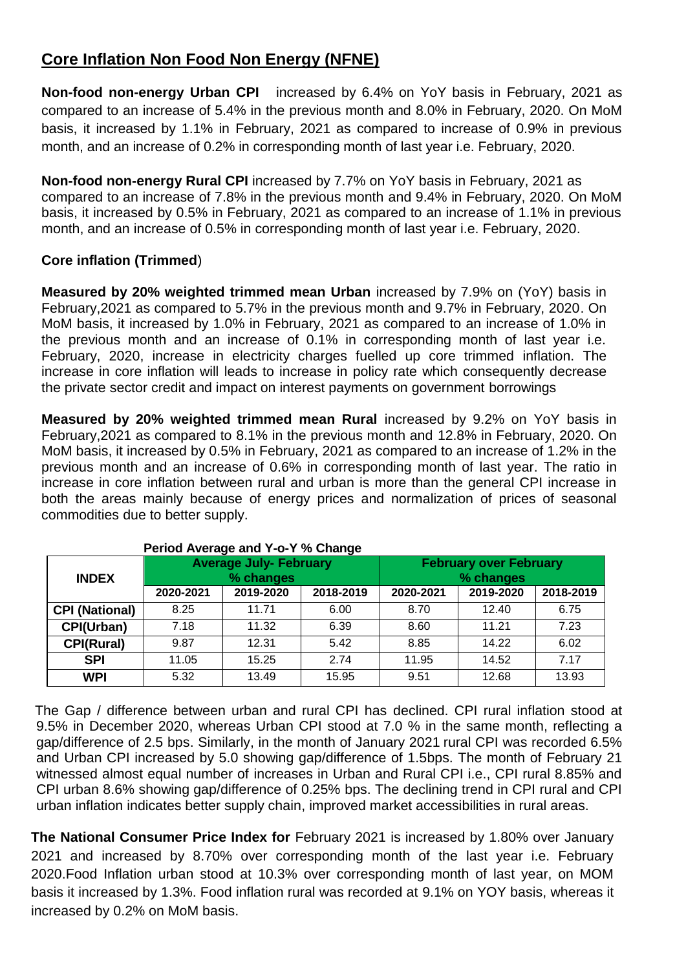# **Core Inflation Non Food Non Energy (NFNE)**

**Non-food non-energy Urban CPI** increased by 6.4% on YoY basis in February, 2021 as compared to an increase of 5.4% in the previous month and 8.0% in February, 2020. On MoM basis, it increased by 1.1% in February, 2021 as compared to increase of 0.9% in previous month, and an increase of 0.2% in corresponding month of last year i.e. February, 2020.

**Non-food non-energy Rural CPI** increased by 7.7% on YoY basis in February, 2021 as compared to an increase of 7.8% in the previous month and 9.4% in February, 2020. On MoM basis, it increased by 0.5% in February, 2021 as compared to an increase of 1.1% in previous month, and an increase of 0.5% in corresponding month of last year i.e. February, 2020.

### **Core inflation (Trimmed**)

**Measured by 20% weighted trimmed mean Urban** increased by 7.9% on (YoY) basis in February,2021 as compared to 5.7% in the previous month and 9.7% in February, 2020. On MoM basis, it increased by 1.0% in February, 2021 as compared to an increase of 1.0% in the previous month and an increase of 0.1% in corresponding month of last year i.e. February, 2020, increase in electricity charges fuelled up core trimmed inflation. The increase in core inflation will leads to increase in policy rate which consequently decrease the private sector credit and impact on interest payments on government borrowings

**Measured by 20% weighted trimmed mean Rural** increased by 9.2% on YoY basis in February,2021 as compared to 8.1% in the previous month and 12.8% in February, 2020. On MoM basis, it increased by 0.5% in February, 2021 as compared to an increase of 1.2% in the previous month and an increase of 0.6% in corresponding month of last year. The ratio in increase in core inflation between rural and urban is more than the general CPI increase in both the areas mainly because of energy prices and normalization of prices of seasonal commodities due to better supply.

| $\sim$ 0.000 0.000 0.000 0.000 0.000 0.000 0.000 0.000 0.000 0.000 0.000 0.000 0.000 0.000 0.000 0.000 0.000 0.000 0.000 0.000 0.000 0.000 0.000 0.000 0.000 0.000 0.000 0.000 0.000 0.000 0.000 0.000 0.000 0.000 0.000 0.000 |           |                               |           |                               |           |           |  |  |  |  |  |
|--------------------------------------------------------------------------------------------------------------------------------------------------------------------------------------------------------------------------------|-----------|-------------------------------|-----------|-------------------------------|-----------|-----------|--|--|--|--|--|
|                                                                                                                                                                                                                                |           | <b>Average July- February</b> |           | <b>February over February</b> |           |           |  |  |  |  |  |
| <b>INDEX</b>                                                                                                                                                                                                                   |           | % changes                     |           |                               | % changes |           |  |  |  |  |  |
|                                                                                                                                                                                                                                | 2020-2021 | 2019-2020                     | 2018-2019 | 2020-2021                     | 2019-2020 | 2018-2019 |  |  |  |  |  |
| <b>CPI (National)</b>                                                                                                                                                                                                          | 8.25      | 11.71                         | 6.00      | 8.70                          | 12.40     | 6.75      |  |  |  |  |  |
| CPI(Urban)                                                                                                                                                                                                                     | 7.18      | 11.32                         | 6.39      | 8.60                          | 11.21     | 7.23      |  |  |  |  |  |
| <b>CPI(Rural)</b>                                                                                                                                                                                                              | 9.87      | 12.31                         | 5.42      | 8.85                          | 14.22     | 6.02      |  |  |  |  |  |
| <b>SPI</b>                                                                                                                                                                                                                     | 11.05     | 15.25                         | 2.74      | 11.95                         | 14.52     | 7.17      |  |  |  |  |  |
| <b>WPI</b>                                                                                                                                                                                                                     | 5.32      | 13.49                         | 15.95     | 9.51                          | 12.68     | 13.93     |  |  |  |  |  |

| Period Average and Y-o-Y % Change |  |
|-----------------------------------|--|
|-----------------------------------|--|

The Gap / difference between urban and rural CPI has declined. CPI rural inflation stood at 9.5% in December 2020, whereas Urban CPI stood at 7.0 % in the same month, reflecting a gap/difference of 2.5 bps. Similarly, in the month of January 2021 rural CPI was recorded 6.5% and Urban CPI increased by 5.0 showing gap/difference of 1.5bps. The month of February 21 witnessed almost equal number of increases in Urban and Rural CPI i.e., CPI rural 8.85% and CPI urban 8.6% showing gap/difference of 0.25% bps. The declining trend in CPI rural and CPI urban inflation indicates better supply chain, improved market accessibilities in rural areas.

**The National Consumer Price Index for February 2021 is increased by 1.80% over January** 2021 and increased by 8.70% over corresponding month of the last year i.e. February 2020.Food Inflation urban stood at 10.3% over corresponding month of last year, on MOM basis it increased by 1.3%. Food inflation rural was recorded at 9.1% on YOY basis, whereas it increased by 0.2% on MoM basis.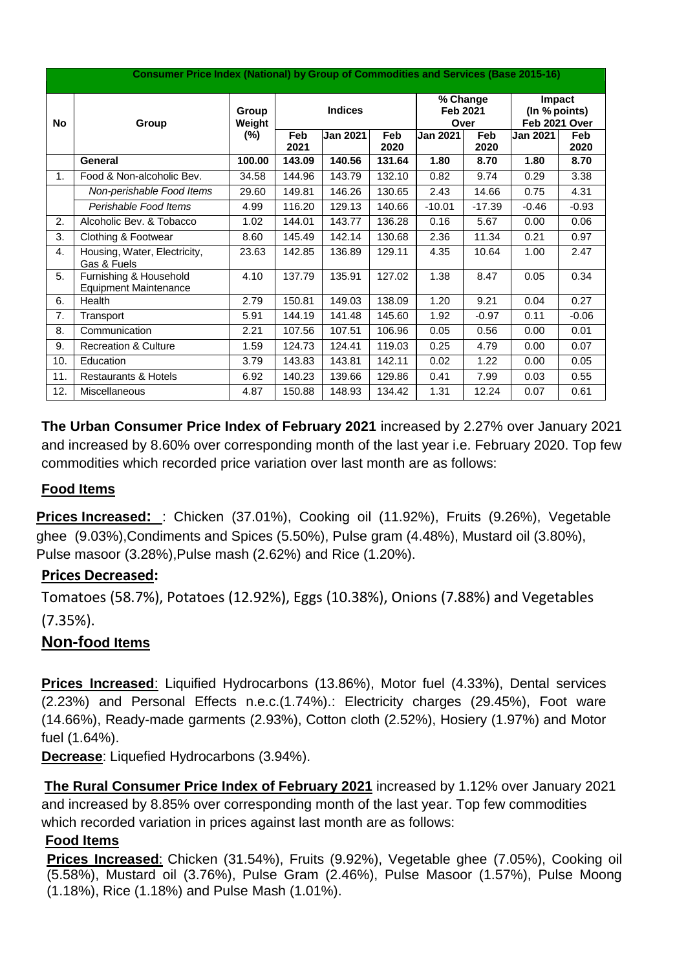| <b>Consumer Price Index (National) by Group of Commodities and Services (Base 2015-16)</b> |                                                        |                 |             |                 |             |                                                   |                    |                                                 |                    |  |
|--------------------------------------------------------------------------------------------|--------------------------------------------------------|-----------------|-------------|-----------------|-------------|---------------------------------------------------|--------------------|-------------------------------------------------|--------------------|--|
| No                                                                                         | Group                                                  | Group<br>Weight |             | <b>Indices</b>  |             | $\overline{\%}$ Change<br><b>Feb 2021</b><br>Over |                    | <b>Impact</b><br>(In % points)<br>Feb 2021 Over |                    |  |
|                                                                                            |                                                        | $(\%)$          | Feb<br>2021 | <b>Jan 2021</b> | Feb<br>2020 | <b>Jan 2021</b>                                   | <b>Feb</b><br>2020 | <b>Jan 2021</b>                                 | <b>Feb</b><br>2020 |  |
|                                                                                            | General                                                | 100.00          | 143.09      | 140.56          | 131.64      | 1.80                                              | 8.70               | 1.80                                            | 8.70               |  |
| 1.                                                                                         | Food & Non-alcoholic Bev.                              | 34.58           | 144.96      | 143.79          | 132.10      | 0.82                                              | 9.74               | 0.29                                            | 3.38               |  |
|                                                                                            | Non-perishable Food Items                              | 29.60           | 149.81      | 146.26          | 130.65      | 2.43                                              | 14.66              | 0.75                                            | 4.31               |  |
|                                                                                            | Perishable Food Items                                  | 4.99            | 116.20      | 129.13          | 140.66      | $-10.01$                                          | $-17.39$           | $-0.46$                                         | $-0.93$            |  |
| 2.                                                                                         | Alcoholic Bev. & Tobacco                               | 1.02            | 144.01      | 143.77          | 136.28      | 0.16                                              | 5.67               | 0.00                                            | 0.06               |  |
| 3.                                                                                         | Clothing & Footwear                                    | 8.60            | 145.49      | 142.14          | 130.68      | 2.36                                              | 11.34              | 0.21                                            | 0.97               |  |
| 4.                                                                                         | Housing, Water, Electricity,<br>Gas & Fuels            | 23.63           | 142.85      | 136.89          | 129.11      | 4.35                                              | 10.64              | 1.00                                            | 2.47               |  |
| 5.                                                                                         | Furnishing & Household<br><b>Equipment Maintenance</b> | 4.10            | 137.79      | 135.91          | 127.02      | 1.38                                              | 8.47               | 0.05                                            | 0.34               |  |
| 6.                                                                                         | Health                                                 | 2.79            | 150.81      | 149.03          | 138.09      | 1.20                                              | 9.21               | 0.04                                            | 0.27               |  |
| 7.                                                                                         | Transport                                              | 5.91            | 144.19      | 141.48          | 145.60      | 1.92                                              | $-0.97$            | 0.11                                            | $-0.06$            |  |
| 8.                                                                                         | Communication                                          | 2.21            | 107.56      | 107.51          | 106.96      | 0.05                                              | 0.56               | 0.00                                            | 0.01               |  |
| 9.                                                                                         | <b>Recreation &amp; Culture</b>                        | 1.59            | 124.73      | 124.41          | 119.03      | 0.25                                              | 4.79               | 0.00                                            | 0.07               |  |
| 10.                                                                                        | Education                                              | 3.79            | 143.83      | 143.81          | 142.11      | 0.02                                              | 1.22               | 0.00                                            | 0.05               |  |
| 11.                                                                                        | <b>Restaurants &amp; Hotels</b>                        | 6.92            | 140.23      | 139.66          | 129.86      | 0.41                                              | 7.99               | 0.03                                            | 0.55               |  |
| 12.                                                                                        | <b>Miscellaneous</b>                                   | 4.87            | 150.88      | 148.93          | 134.42      | 1.31                                              | 12.24              | 0.07                                            | 0.61               |  |

**The Urban Consumer Price Index of February 2021** increased by 2.27% over January 2021 and increased by 8.60% over corresponding month of the last year i.e. February 2020. Top few commodities which recorded price variation over last month are as follows:

## **Food Items**

**Prices Increased:** : Chicken (37.01%), Cooking oil (11.92%), Fruits (9.26%), Vegetable ghee (9.03%),Condiments and Spices (5.50%), Pulse gram (4.48%), Mustard oil (3.80%), Pulse masoor (3.28%),Pulse mash (2.62%) and Rice (1.20%).

## **Prices Decreased:**

Tomatoes (58.7%), Potatoes (12.92%), Eggs (10.38%), Onions (7.88%) and Vegetables (7.35%).

## **Non-food Items**

**Prices Increased**: Liquified Hydrocarbons (13.86%), Motor fuel (4.33%), Dental services (2.23%) and Personal Effects n.e.c.(1.74%).: Electricity charges (29.45%), Foot ware (14.66%), Ready-made garments (2.93%), Cotton cloth (2.52%), Hosiery (1.97%) and Motor fuel (1.64%).

**Decrease**: Liquefied Hydrocarbons (3.94%).

**The Rural Consumer Price Index of February 2021** increased by 1.12% over January 2021 and increased by 8.85% over corresponding month of the last year. Top few commodities which recorded variation in prices against last month are as follows:

## **Food Items**

**Prices Increased**: Chicken (31.54%), Fruits (9.92%), Vegetable ghee (7.05%), Cooking oil (5.58%), Mustard oil (3.76%), Pulse Gram (2.46%), Pulse Masoor (1.57%), Pulse Moong (1.18%), Rice (1.18%) and Pulse Mash (1.01%).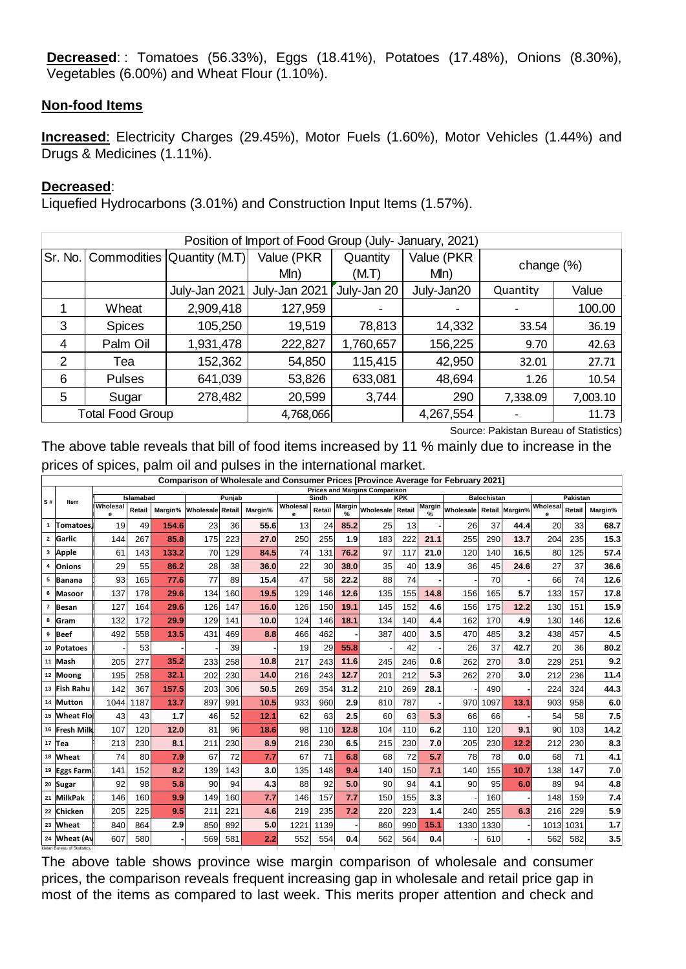**Decreased**: : Tomatoes (56.33%), Eggs (18.41%), Potatoes (17.48%), Onions (8.30%), Vegetables (6.00%) and Wheat Flour (1.10%).

#### **Non-food Items**

**Increased**: Electricity Charges (29.45%), Motor Fuels (1.60%), Motor Vehicles (1.44%) and Drugs & Medicines (1.11%).

#### **Decreased**:

Liquefied Hydrocarbons (3.01%) and Construction Input Items (1.57%).

| Position of Import of Food Group (July- January, 2021) |                                                            |                                        |                               |                   |                               |               |          |  |  |  |
|--------------------------------------------------------|------------------------------------------------------------|----------------------------------------|-------------------------------|-------------------|-------------------------------|---------------|----------|--|--|--|
|                                                        |                                                            | Sr. No.   Commodities   Quantity (M.T) | Value (PKR<br>M <sub>ln</sub> | Quantity<br>(M.T) | Value (PKR<br>M <sub>ln</sub> | change $(\%)$ |          |  |  |  |
|                                                        |                                                            | July-Jan 2021                          | July-Jan 2021                 | July-Jan 20       | July-Jan20                    | Quantity      | Value    |  |  |  |
|                                                        | Wheat                                                      | 2,909,418                              | 127,959                       |                   |                               |               | 100.00   |  |  |  |
| 3                                                      | <b>Spices</b>                                              | 105,250                                | 19,519                        | 78,813            | 14,332                        | 33.54         | 36.19    |  |  |  |
| 4                                                      | Palm Oil                                                   | 1,931,478                              | 222,827                       | 1,760,657         | 156,225                       | 9.70          | 42.63    |  |  |  |
| 2                                                      | Tea                                                        | 152,362                                | 54,850                        | 115,415           | 42,950                        | 32.01         | 27.71    |  |  |  |
| 6                                                      | <b>Pulses</b>                                              | 641,039                                | 53,826                        | 633,081           | 48,694                        | 1.26          | 10.54    |  |  |  |
| 5                                                      | Sugar                                                      | 278,482                                | 20,599                        | 3,744             | 290                           | 7,338.09      | 7,003.10 |  |  |  |
|                                                        | <b>Total Food Group</b><br>4,267,554<br>4,768,066<br>11.73 |                                        |                               |                   |                               |               |          |  |  |  |

|                                                                  | Sr. No.   Commodities   Quantity (M.T)                                                                                                                                |            |               |                                 |            |              | Value (PKR<br>M <sub>ln</sub> |                 |               | Quantity<br>(M.T)                    |            | M <sub>ln</sub> | Value (PKR                                                                       |                    |             | change $(\%)$ |                    |              |
|------------------------------------------------------------------|-----------------------------------------------------------------------------------------------------------------------------------------------------------------------|------------|---------------|---------------------------------|------------|--------------|-------------------------------|-----------------|---------------|--------------------------------------|------------|-----------------|----------------------------------------------------------------------------------|--------------------|-------------|---------------|--------------------|--------------|
|                                                                  |                                                                                                                                                                       |            |               | July-Jan 2021                   |            |              | July-Jan 2021                 |                 |               | July-Jan 20                          |            |                 | July-Jan20                                                                       |                    | Quantity    |               |                    | Value        |
| 1                                                                | Wheat                                                                                                                                                                 |            |               | 2,909,418                       |            |              | 127,959                       |                 |               |                                      |            |                 |                                                                                  |                    |             |               |                    | 100.00       |
| 3                                                                | <b>Spices</b>                                                                                                                                                         |            |               | 105,250                         |            |              | 19,519                        |                 |               | 78,813                               |            |                 | 14,332                                                                           |                    |             | 33.54         |                    | 36.19        |
| 4                                                                | Palm Oil                                                                                                                                                              |            |               | 1,931,478                       |            |              | 222,827                       |                 |               | 1,760,657                            |            |                 | 156,225                                                                          |                    |             | 9.70          |                    | 42.63        |
| $\overline{2}$                                                   | Tea                                                                                                                                                                   |            |               |                                 | 152,362    |              | 54,850                        |                 |               | 115,415                              |            |                 | 42,950                                                                           |                    |             | 32.01         |                    | 27.71        |
| 6                                                                | <b>Pulses</b>                                                                                                                                                         |            |               | 641,039                         |            |              | 53,826                        |                 |               | 633,081                              |            |                 | 48,694                                                                           |                    |             | 1.26          |                    | 10.54        |
| 5                                                                | Sugar                                                                                                                                                                 |            |               | 278,482                         |            |              | 20,599                        |                 |               | 3,744                                |            |                 | 290                                                                              |                    | 7,338.09    |               |                    | 7,003.10     |
|                                                                  | <b>Total Food Group</b>                                                                                                                                               |            |               |                                 |            |              | 4,768,066                     |                 |               |                                      |            |                 | 4,267,554                                                                        |                    |             |               |                    | 11.73        |
|                                                                  | The above table reveals that bill of food items increased by 11 % mainly due to increase in the<br>prices of spices, palm oil and pulses in the international market. |            |               |                                 |            |              |                               |                 |               | <b>Prices and Margins Comparison</b> |            |                 | Comparison of Wholesale and Consumer Prices [Province Average for February 2021] |                    |             |               |                    |              |
| S#<br>Item                                                       | Wholesal                                                                                                                                                              | Islamabad  |               | Retail Margin% Wholesale Retail | Punjab     | Margin%      | Wholesal                      | Sindh<br>Retail | <b>Margin</b> | Wholesale Retail                     | KPK        |                 | Margin Wholesale Retail                                                          | <b>Balochistan</b> | Margin%     | Wholesal      | Pakistan<br>Retail | Margin%      |
| Tomatoes<br>$\mathbf{1}$                                         | 19                                                                                                                                                                    | 49         | 154.6         | 23                              | 36         | 55.6         | е<br>13                       | 24              | $\%$<br>85.2  | 25                                   | 13         | %               | 26                                                                               | 37                 | 44.4        | 20            | 33                 | 68.7         |
| Garlic<br>2                                                      | 144                                                                                                                                                                   | 267        | 85.8          | 175                             | 223        | 27.0         | 250                           | 255             | 1.9           | 183                                  | 222        | 21.1            | 255                                                                              | 290                | 13.7        | 204           | 235                | 15.3         |
| Apple<br>3                                                       | 61                                                                                                                                                                    | 143        | 133.2         | 70                              | 129        | 84.5         | 74                            | 131             | 76.2          | 97                                   | 117        | 21.0            | 120                                                                              | 140                | 16.5        | 80            | 125                | 57.4         |
| Onions<br>4                                                      | 29                                                                                                                                                                    | 55         | 86.2          | 28                              | 38         | 36.0         | 22                            | 30              | 38.0          | 35                                   | 40         | 13.9            | 36                                                                               | 45                 | 24.6        | 27            | 37                 | 36.6         |
| Banana<br>5<br>6                                                 | 93                                                                                                                                                                    | 165        | 77.6          | 77                              | 89         | 15.4         | 47                            | 58              | 22.2          | 88                                   | 74         |                 |                                                                                  | 70                 |             | 66            | 74                 | 12.6         |
| Masoor<br>Besan<br>$\overline{7}$                                | 137<br>127                                                                                                                                                            | 178<br>164 | 29.6<br>29.6  | 134<br>126                      | 160<br>147 | 19.5<br>16.0 | 129<br>126                    | 146<br>150      | 12.6<br>19.1  | 135<br>145                           | 155<br>152 | 14.8<br>4.6     | 156<br>156                                                                       | 165<br>175         | 5.7<br>12.2 | 133<br>130    | 157<br>151         | 17.8<br>15.9 |
| 8<br> Gram                                                       | 132                                                                                                                                                                   | 172        | 29.9          | 129                             | 141        | 10.0         | 124                           | 146             | 18.1          | 134                                  | 140        | 4.4             | 162                                                                              | 170                | 4.9         | 130           | 146                | 12.6         |
| Beef<br>9                                                        | 492                                                                                                                                                                   | 558        | 13.5          | 431                             | 469        | 8.8          | 466                           | 462             |               | 387                                  | 400        | 3.5             | 470                                                                              | 485                | 3.2         | 438           | 457                | 4.5          |
| Potatoes<br>10                                                   |                                                                                                                                                                       | 53         |               |                                 | 39         |              | 19                            | 29              | 55.8          |                                      | 42         |                 | 26                                                                               | 37                 | 42.7        | 20            | 36                 | 80.2         |
| Mash<br>11                                                       | 205                                                                                                                                                                   | 277        | 35.2          | 233                             | 258        | 10.8         | 217                           | 243             | 11.6          | 245                                  | 246        | 0.6             | 262                                                                              | 270                | 3.0         | 229           | 251                | 9.2          |
| 12 Moong                                                         | 195                                                                                                                                                                   | 258        | 32.1          | 202                             | 230        | 14.0         | 216                           | 243             | 12.7          | 201                                  | 212        | 5.3             | 262                                                                              | 270                | 3.0         | 212           | 236                | 11.4         |
| 13 Fish Rahu                                                     | 142                                                                                                                                                                   | 367        | 157.5<br>13.7 | 203                             | 306        | 50.5<br>10.5 | 269                           | 354             | 31.2<br>2.9   | 210                                  | 269<br>787 | 28.1            |                                                                                  | 490                | 13.1        | 224           | 324                | 44.3<br>6.0  |
| 14 Mutton<br>15 Wheat Flo                                        | 1044<br>43                                                                                                                                                            | 1187<br>43 | 1.7           | 897<br>46                       | 991<br>52  | 12.1         | 933<br>62                     | 960<br>63       | 2.5           | 810<br>60                            | 63         | 5.3             | 970<br>66                                                                        | 1097<br>66         |             | 903<br>54     | 958<br>58          | 7.5          |
| 16 Fresh Milk                                                    | 107                                                                                                                                                                   | 120        | $12.0$        | 81                              | 96         | 18.6         | 98                            | 110             | 12.8          | 104                                  | 110        | 6.2             | 110                                                                              | 120                | 9.1         | 90            | 103                | 14.2         |
| 17 Tea                                                           | 213                                                                                                                                                                   | 230        | 8.1           | 211                             | 230        | 8.9          | 216                           | 230             | 6.5           | 215                                  | 230        | 7.0             | 205                                                                              | 230                | 12.2        | 212           | 230                | 8.3          |
| 18 Wheat                                                         | 74                                                                                                                                                                    | 80         | 7.9           | 67                              | 72         | 7.7          | 67                            | 71              | 6.8           | 68                                   | 72         | 5.7             | 78                                                                               | 78                 | 0.0         | 68            | 71                 | 4.1          |
| <sup>19</sup>  Eggs Farm                                         | 141                                                                                                                                                                   | 152        | 8.2           | 139                             | 143        | 3.0          | 135                           | 148             | 9.4           | 140                                  | 150        | $7.1$           | 140                                                                              | 155                | 10.7        | 138           | 147                | 7.0          |
|                                                                  |                                                                                                                                                                       | 98         | 5.8           | 90 <sup>°</sup>                 | 94         | 4.3          | 88                            | 92              | 5.0           | 90                                   | 94         | 4.1             | 90                                                                               | 95                 | 6.0         | 89            | 94                 | 4.8          |
|                                                                  | 92                                                                                                                                                                    |            | 9.9           | 149                             | 160        | 7.7          | 146                           | 157             | 7.7           | 150                                  | 155        | 3.3             |                                                                                  | 160                |             | 148           | 159                | 7.4          |
|                                                                  | 146                                                                                                                                                                   | 160        |               |                                 |            |              |                               |                 |               |                                      | 223        | $1.4$           | 240                                                                              | 255                | 6.3         | 216           | 229                | 5.9          |
|                                                                  | 205                                                                                                                                                                   | 225        | 9.5           | 211                             | 221        | 4.6          | 219                           | 235             | 7.2           | 220                                  |            |                 |                                                                                  |                    |             |               |                    |              |
| 20 Sugar<br>21 MilkPak<br>22 Chicken<br>23 Wheat<br>24 Wheat (Av | 840<br>607                                                                                                                                                            | 864<br>580 | 2.9           | 850<br>569                      | 892<br>581 | 5.0<br>2.2   | 1221<br>552                   | 1139<br>554     | 0.4           | 860<br>562                           | 990<br>564 | 15.1<br>0.4     | 1330 1330                                                                        | 610                |             | 562           | 1013 1031<br>582   | $1.7$<br>3.5 |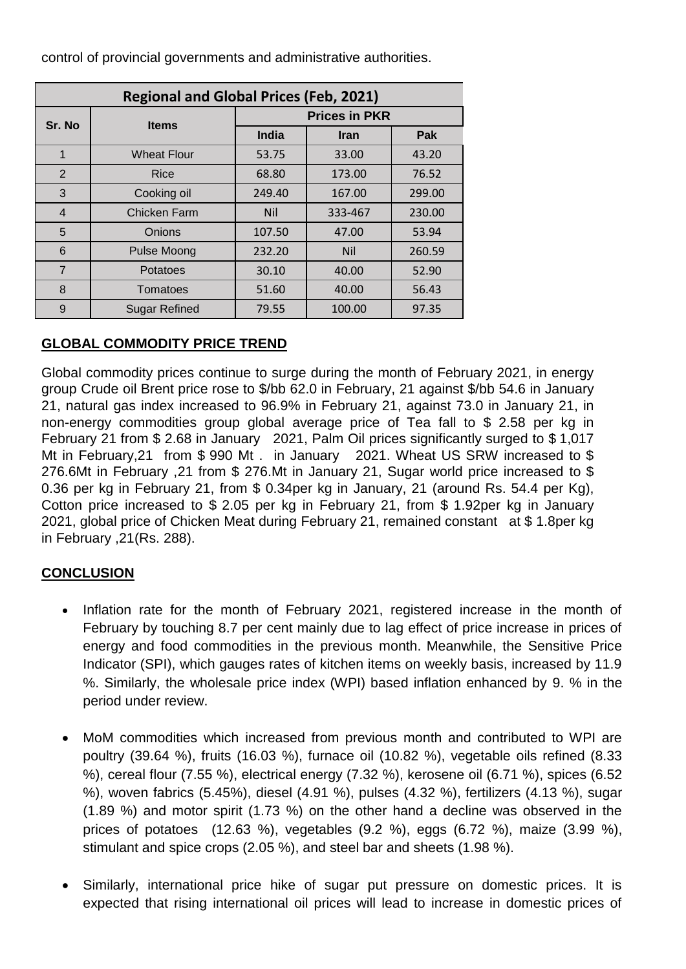control of provincial governments and administrative authorities.

| <b>Regional and Global Prices (Feb, 2021)</b> |                     |                      |             |        |  |  |  |  |  |  |
|-----------------------------------------------|---------------------|----------------------|-------------|--------|--|--|--|--|--|--|
| Sr. No                                        | <b>Items</b>        | <b>Prices in PKR</b> |             |        |  |  |  |  |  |  |
|                                               |                     | India                | <b>Iran</b> | Pak    |  |  |  |  |  |  |
| 1                                             | Wheat Flour         | 53.75                | 33.00       | 43.20  |  |  |  |  |  |  |
| 2                                             | <b>Rice</b>         | 68.80                | 173.00      | 76.52  |  |  |  |  |  |  |
| 3                                             | Cooking oil         | 249.40               | 167.00      | 299.00 |  |  |  |  |  |  |
| $\overline{4}$                                | <b>Chicken Farm</b> | <b>Nil</b>           | 333-467     | 230.00 |  |  |  |  |  |  |
| 5                                             | Onions              | 107.50               | 47.00       | 53.94  |  |  |  |  |  |  |
| 6                                             | <b>Pulse Moong</b>  | 232.20               | <b>Nil</b>  | 260.59 |  |  |  |  |  |  |
| $\overline{7}$                                | Potatoes            | 30.10                | 40.00       | 52.90  |  |  |  |  |  |  |
| 8                                             | Tomatoes            | 51.60                | 40.00       | 56.43  |  |  |  |  |  |  |
| 9                                             | Sugar Refined       | 79.55                | 100.00      | 97.35  |  |  |  |  |  |  |

#### **GLOBAL COMMODITY PRICE TREND**

Global commodity prices continue to surge during the month of February 2021, in energy group Crude oil Brent price rose to \$/bb 62.0 in February, 21 against \$/bb 54.6 in January 21, natural gas index increased to 96.9% in February 21, against 73.0 in January 21, in non-energy commodities group global average price of Tea fall to \$ 2.58 per kg in February 21 from \$ 2.68 in January 2021, Palm Oil prices significantly surged to \$ 1,017 Mt in February,21 from \$ 990 Mt . in January 2021. Wheat US SRW increased to \$ 276.6Mt in February ,21 from \$ 276.Mt in January 21, Sugar world price increased to \$ 0.36 per kg in February 21, from \$ 0.34per kg in January, 21 (around Rs. 54.4 per Kg), Cotton price increased to \$ 2.05 per kg in February 21, from \$ 1.92per kg in January 2021, global price of Chicken Meat during February 21, remained constant at \$ 1.8per kg in February ,21(Rs. 288).

#### **CONCLUSION**

- Inflation rate for the month of February 2021, registered increase in the month of February by touching 8.7 per cent mainly due to lag effect of price increase in prices of energy and food commodities in the previous month. Meanwhile, the Sensitive Price Indicator (SPI), which gauges rates of kitchen items on weekly basis, increased by 11.9 %. Similarly, the wholesale price index (WPI) based inflation enhanced by 9. % in the period under review.
- MoM commodities which increased from previous month and contributed to WPI are poultry (39.64 %), fruits (16.03 %), furnace oil (10.82 %), vegetable oils refined (8.33 %), cereal flour (7.55 %), electrical energy (7.32 %), kerosene oil (6.71 %), spices (6.52 %), woven fabrics (5.45%), diesel (4.91 %), pulses (4.32 %), fertilizers (4.13 %), sugar (1.89 %) and motor spirit (1.73 %) on the other hand a decline was observed in the prices of potatoes (12.63 %), vegetables (9.2 %), eggs (6.72 %), maize (3.99 %), stimulant and spice crops (2.05 %), and steel bar and sheets (1.98 %).
- Similarly, international price hike of sugar put pressure on domestic prices. It is expected that rising international oil prices will lead to increase in domestic prices of